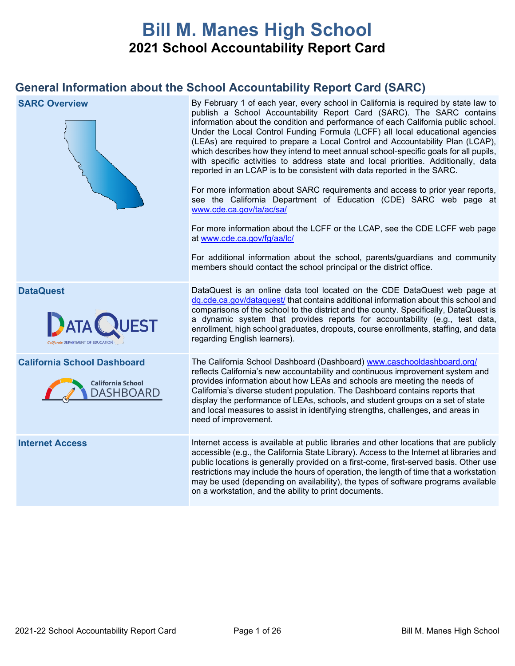# **Bill M. Manes High School 2021 School Accountability Report Card**

# **General Information about the School Accountability Report Card (SARC)**

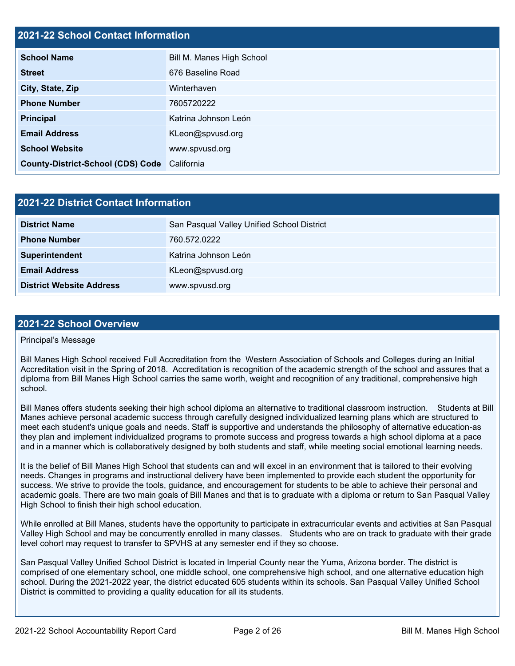## **2021-22 School Contact Information**

| <b>School Name</b>                           | Bill M. Manes High School |  |  |  |  |
|----------------------------------------------|---------------------------|--|--|--|--|
| <b>Street</b>                                | 676 Baseline Road         |  |  |  |  |
| City, State, Zip                             | Winterhaven               |  |  |  |  |
| <b>Phone Number</b>                          | 7605720222                |  |  |  |  |
| <b>Principal</b>                             | Katrina Johnson León      |  |  |  |  |
| <b>Email Address</b>                         | KLeon@spvusd.org          |  |  |  |  |
| <b>School Website</b>                        | www.spvusd.org            |  |  |  |  |
| County-District-School (CDS) Code California |                           |  |  |  |  |

| 2021-22 District Contact Information |                                            |  |  |  |  |
|--------------------------------------|--------------------------------------------|--|--|--|--|
| <b>District Name</b>                 | San Pasqual Valley Unified School District |  |  |  |  |
| <b>Phone Number</b>                  | 760.572.0222                               |  |  |  |  |
| Superintendent                       | Katrina Johnson León                       |  |  |  |  |
| <b>Email Address</b>                 | KLeon@spvusd.org                           |  |  |  |  |
| <b>District Website Address</b>      | www.spvusd.org                             |  |  |  |  |

## **2021-22 School Overview**

## Principal's Message

Bill Manes High School received Full Accreditation from the Western Association of Schools and Colleges during an Initial Accreditation visit in the Spring of 2018. Accreditation is recognition of the academic strength of the school and assures that a diploma from Bill Manes High School carries the same worth, weight and recognition of any traditional, comprehensive high school.

Bill Manes offers students seeking their high school diploma an alternative to traditional classroom instruction. Students at Bill Manes achieve personal academic success through carefully designed individualized learning plans which are structured to meet each student's unique goals and needs. Staff is supportive and understands the philosophy of alternative education-as they plan and implement individualized programs to promote success and progress towards a high school diploma at a pace and in a manner which is collaboratively designed by both students and staff, while meeting social emotional learning needs.

It is the belief of Bill Manes High School that students can and will excel in an environment that is tailored to their evolving needs. Changes in programs and instructional delivery have been implemented to provide each student the opportunity for success. We strive to provide the tools, guidance, and encouragement for students to be able to achieve their personal and academic goals. There are two main goals of Bill Manes and that is to graduate with a diploma or return to San Pasqual Valley High School to finish their high school education.

While enrolled at Bill Manes, students have the opportunity to participate in extracurricular events and activities at San Pasqual Valley High School and may be concurrently enrolled in many classes. Students who are on track to graduate with their grade level cohort may request to transfer to SPVHS at any semester end if they so choose.

San Pasqual Valley Unified School District is located in Imperial County near the Yuma, Arizona border. The district is comprised of one elementary school, one middle school, one comprehensive high school, and one alternative education high school. During the 2021-2022 year, the district educated 605 students within its schools. San Pasqual Valley Unified School District is committed to providing a quality education for all its students.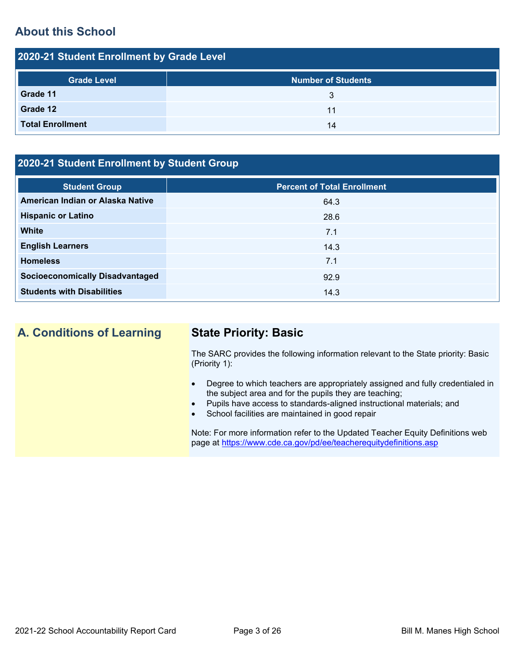# **About this School**

| 2020-21 Student Enrollment by Grade Level |                           |  |  |  |  |
|-------------------------------------------|---------------------------|--|--|--|--|
| <b>Grade Level</b>                        | <b>Number of Students</b> |  |  |  |  |
| Grade 11                                  | 3                         |  |  |  |  |
| Grade 12                                  | 11                        |  |  |  |  |
| <b>Total Enrollment</b>                   | 14                        |  |  |  |  |

# **2020-21 Student Enrollment by Student Group**

| <b>Student Group</b>                   | <b>Percent of Total Enrollment</b> |
|----------------------------------------|------------------------------------|
| American Indian or Alaska Native       | 64.3                               |
| <b>Hispanic or Latino</b>              | 28.6                               |
| <b>White</b>                           | 7.1                                |
| <b>English Learners</b>                | 14.3                               |
| <b>Homeless</b>                        | 7.1                                |
| <b>Socioeconomically Disadvantaged</b> | 92.9                               |
| <b>Students with Disabilities</b>      | 14.3                               |

# **A. Conditions of Learning State Priority: Basic**

The SARC provides the following information relevant to the State priority: Basic (Priority 1):

- Degree to which teachers are appropriately assigned and fully credentialed in the subject area and for the pupils they are teaching;
- Pupils have access to standards-aligned instructional materials; and
- School facilities are maintained in good repair

Note: For more information refer to the Updated Teacher Equity Definitions web page at<https://www.cde.ca.gov/pd/ee/teacherequitydefinitions.asp>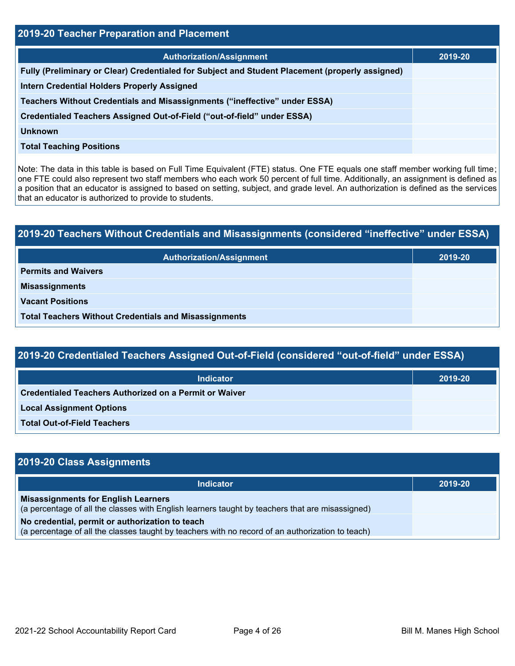| 2019-20 Teacher Preparation and Placement                                                       |         |  |  |  |  |
|-------------------------------------------------------------------------------------------------|---------|--|--|--|--|
| <b>Authorization/Assignment</b>                                                                 | 2019-20 |  |  |  |  |
| Fully (Preliminary or Clear) Credentialed for Subject and Student Placement (properly assigned) |         |  |  |  |  |
| <b>Intern Credential Holders Properly Assigned</b>                                              |         |  |  |  |  |
| Teachers Without Credentials and Misassignments ("ineffective" under ESSA)                      |         |  |  |  |  |
| Credentialed Teachers Assigned Out-of-Field ("out-of-field" under ESSA)                         |         |  |  |  |  |
| <b>Unknown</b>                                                                                  |         |  |  |  |  |
| <b>Total Teaching Positions</b>                                                                 |         |  |  |  |  |

Note: The data in this table is based on Full Time Equivalent (FTE) status. One FTE equals one staff member working full time; one FTE could also represent two staff members who each work 50 percent of full time. Additionally, an assignment is defined as a position that an educator is assigned to based on setting, subject, and grade level. An authorization is defined as the services that an educator is authorized to provide to students.

# **2019-20 Teachers Without Credentials and Misassignments (considered "ineffective" under ESSA) Authorization/Assignment 2019-20 Permits and Waivers Misassignments Vacant Positions Total Teachers Without Credentials and Misassignments**

| 2019-20 Credentialed Teachers Assigned Out-of-Field (considered "out-of-field" under ESSA) |         |  |  |  |  |
|--------------------------------------------------------------------------------------------|---------|--|--|--|--|
| <b>Indicator</b>                                                                           | 2019-20 |  |  |  |  |
| Credentialed Teachers Authorized on a Permit or Waiver                                     |         |  |  |  |  |
| <b>Local Assignment Options</b>                                                            |         |  |  |  |  |
| <b>Total Out-of-Field Teachers</b>                                                         |         |  |  |  |  |

| 2019-20 Class Assignments                                                                                                                           |         |
|-----------------------------------------------------------------------------------------------------------------------------------------------------|---------|
| <b>Indicator</b>                                                                                                                                    | 2019-20 |
| <b>Misassignments for English Learners</b><br>(a percentage of all the classes with English learners taught by teachers that are misassigned)       |         |
| No credential, permit or authorization to teach<br>(a percentage of all the classes taught by teachers with no record of an authorization to teach) |         |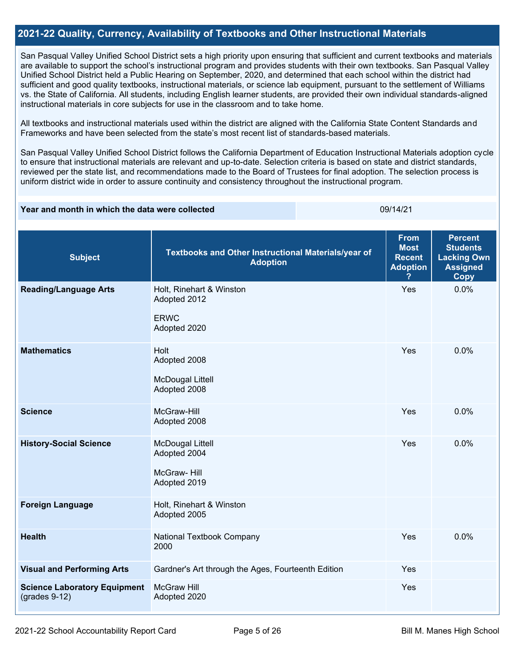## **2021-22 Quality, Currency, Availability of Textbooks and Other Instructional Materials**

San Pasqual Valley Unified School District sets a high priority upon ensuring that sufficient and current textbooks and materials are available to support the school's instructional program and provides students with their own textbooks. San Pasqual Valley Unified School District held a Public Hearing on September, 2020, and determined that each school within the district had sufficient and good quality textbooks, instructional materials, or science lab equipment, pursuant to the settlement of Williams vs. the State of California. All students, including English learner students, are provided their own individual standards-aligned instructional materials in core subjects for use in the classroom and to take home.

All textbooks and instructional materials used within the district are aligned with the California State Content Standards and Frameworks and have been selected from the state's most recent list of standards-based materials.

San Pasqual Valley Unified School District follows the California Department of Education Instructional Materials adoption cycle to ensure that instructional materials are relevant and up-to-date. Selection criteria is based on state and district standards, reviewed per the state list, and recommendations made to the Board of Trustees for final adoption. The selection process is uniform district wide in order to assure continuity and consistency throughout the instructional program.

#### **Year and month in which the data were collected** 09/14/21

| <b>Subject</b>                                         | Textbooks and Other Instructional Materials/year of<br><b>Adoption</b>  | <b>From</b><br><b>Most</b><br><b>Recent</b><br><b>Adoption</b> | <b>Percent</b><br><b>Students</b><br><b>Lacking Own</b><br><b>Assigned</b><br><b>Copy</b> |
|--------------------------------------------------------|-------------------------------------------------------------------------|----------------------------------------------------------------|-------------------------------------------------------------------------------------------|
| <b>Reading/Language Arts</b>                           | Holt, Rinehart & Winston<br>Adopted 2012<br><b>ERWC</b><br>Adopted 2020 | Yes                                                            | 0.0%                                                                                      |
| <b>Mathematics</b>                                     | Holt<br>Adopted 2008<br><b>McDougal Littell</b><br>Adopted 2008         | Yes                                                            | 0.0%                                                                                      |
| <b>Science</b>                                         | McGraw-Hill<br>Adopted 2008                                             | Yes                                                            | 0.0%                                                                                      |
| <b>History-Social Science</b>                          | <b>McDougal Littell</b><br>Adopted 2004<br>McGraw-Hill<br>Adopted 2019  | Yes                                                            | 0.0%                                                                                      |
| <b>Foreign Language</b>                                | Holt, Rinehart & Winston<br>Adopted 2005                                |                                                                |                                                                                           |
| <b>Health</b>                                          | National Textbook Company<br>2000                                       | Yes                                                            | 0.0%                                                                                      |
| <b>Visual and Performing Arts</b>                      | Gardner's Art through the Ages, Fourteenth Edition                      | Yes                                                            |                                                                                           |
| <b>Science Laboratory Equipment</b><br>$(grades 9-12)$ | <b>McGraw Hill</b><br>Adopted 2020                                      | Yes                                                            |                                                                                           |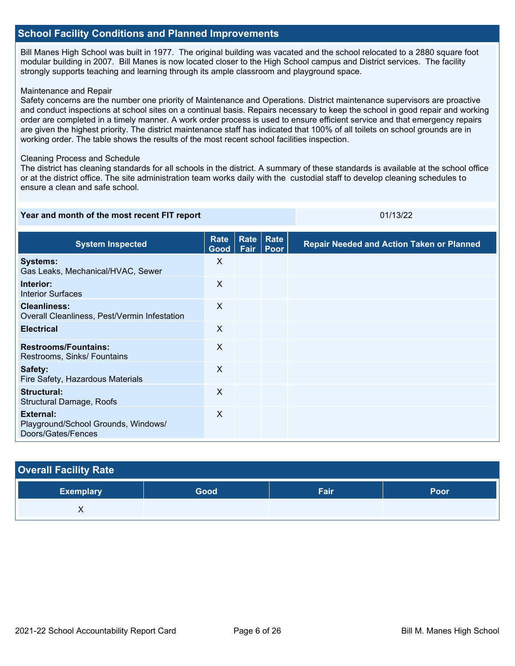## **School Facility Conditions and Planned Improvements**

Bill Manes High School was built in 1977. The original building was vacated and the school relocated to a 2880 square foot modular building in 2007. Bill Manes is now located closer to the High School campus and District services. The facility strongly supports teaching and learning through its ample classroom and playground space.

### Maintenance and Repair

Safety concerns are the number one priority of Maintenance and Operations. District maintenance supervisors are proactive and conduct inspections at school sites on a continual basis. Repairs necessary to keep the school in good repair and working order are completed in a timely manner. A work order process is used to ensure efficient service and that emergency repairs are given the highest priority. The district maintenance staff has indicated that 100% of all toilets on school grounds are in working order. The table shows the results of the most recent school facilities inspection.

### Cleaning Process and Schedule

The district has cleaning standards for all schools in the district. A summary of these standards is available at the school office or at the district office. The site administration team works daily with the custodial staff to develop cleaning schedules to ensure a clean and safe school.

### **Year and month of the most recent FIT report** 01/13/22

| <b>System Inspected</b>                                                | Rate<br>Good <sub>1</sub> | <b>Rate</b><br>Fair | Rate<br>Poor | <b>Repair Needed and Action Taken or Planned</b> |
|------------------------------------------------------------------------|---------------------------|---------------------|--------------|--------------------------------------------------|
| <b>Systems:</b><br>Gas Leaks, Mechanical/HVAC, Sewer                   | X                         |                     |              |                                                  |
| Interior:<br><b>Interior Surfaces</b>                                  | $\sf X$                   |                     |              |                                                  |
| <b>Cleanliness:</b><br>Overall Cleanliness, Pest/Vermin Infestation    | $\times$                  |                     |              |                                                  |
| <b>Electrical</b>                                                      | X                         |                     |              |                                                  |
| <b>Restrooms/Fountains:</b><br>Restrooms, Sinks/ Fountains             | X                         |                     |              |                                                  |
| Safety:<br>Fire Safety, Hazardous Materials                            | $\sf X$                   |                     |              |                                                  |
| Structural:<br>Structural Damage, Roofs                                | $\sf X$                   |                     |              |                                                  |
| External:<br>Playground/School Grounds, Windows/<br>Doors/Gates/Fences | X                         |                     |              |                                                  |

| <b>Overall Facility Rate</b> |      |      |      |  |  |  |  |
|------------------------------|------|------|------|--|--|--|--|
| <b>Exemplary</b>             | Good | Fair | Poor |  |  |  |  |
|                              |      |      |      |  |  |  |  |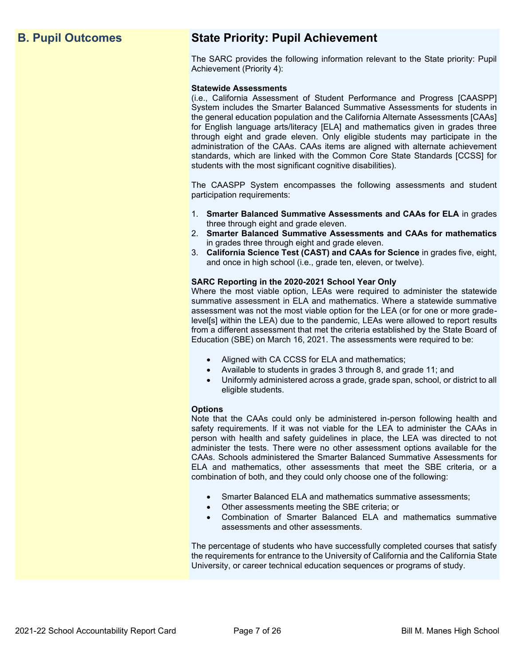# **B. Pupil Outcomes State Priority: Pupil Achievement**

The SARC provides the following information relevant to the State priority: Pupil Achievement (Priority 4):

### **Statewide Assessments**

(i.e., California Assessment of Student Performance and Progress [CAASPP] System includes the Smarter Balanced Summative Assessments for students in the general education population and the California Alternate Assessments [CAAs] for English language arts/literacy [ELA] and mathematics given in grades three through eight and grade eleven. Only eligible students may participate in the administration of the CAAs. CAAs items are aligned with alternate achievement standards, which are linked with the Common Core State Standards [CCSS] for students with the most significant cognitive disabilities).

The CAASPP System encompasses the following assessments and student participation requirements:

- 1. **Smarter Balanced Summative Assessments and CAAs for ELA** in grades three through eight and grade eleven.
- 2. **Smarter Balanced Summative Assessments and CAAs for mathematics** in grades three through eight and grade eleven.
- 3. **California Science Test (CAST) and CAAs for Science** in grades five, eight, and once in high school (i.e., grade ten, eleven, or twelve).

### **SARC Reporting in the 2020-2021 School Year Only**

Where the most viable option, LEAs were required to administer the statewide summative assessment in ELA and mathematics. Where a statewide summative assessment was not the most viable option for the LEA (or for one or more gradelevel[s] within the LEA) due to the pandemic, LEAs were allowed to report results from a different assessment that met the criteria established by the State Board of Education (SBE) on March 16, 2021. The assessments were required to be:

- Aligned with CA CCSS for ELA and mathematics;
- Available to students in grades 3 through 8, and grade 11; and
- Uniformly administered across a grade, grade span, school, or district to all eligible students.

#### **Options**

Note that the CAAs could only be administered in-person following health and safety requirements. If it was not viable for the LEA to administer the CAAs in person with health and safety guidelines in place, the LEA was directed to not administer the tests. There were no other assessment options available for the CAAs. Schools administered the Smarter Balanced Summative Assessments for ELA and mathematics, other assessments that meet the SBE criteria, or a combination of both, and they could only choose one of the following:

- Smarter Balanced ELA and mathematics summative assessments;
- Other assessments meeting the SBE criteria; or
- Combination of Smarter Balanced ELA and mathematics summative assessments and other assessments.

The percentage of students who have successfully completed courses that satisfy the requirements for entrance to the University of California and the California State University, or career technical education sequences or programs of study.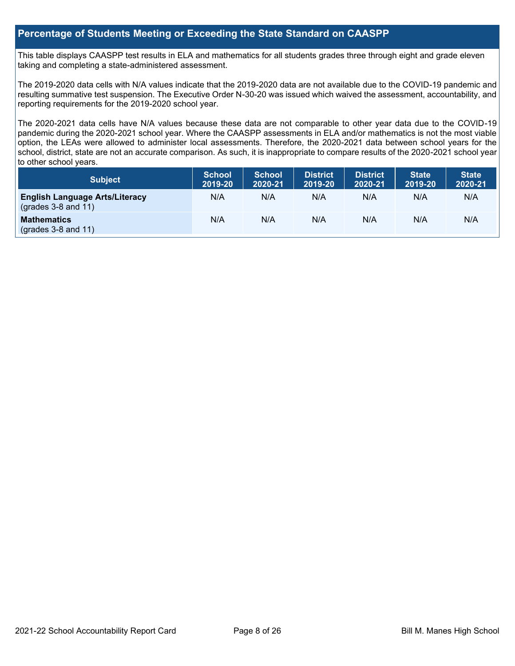## **Percentage of Students Meeting or Exceeding the State Standard on CAASPP**

This table displays CAASPP test results in ELA and mathematics for all students grades three through eight and grade eleven taking and completing a state-administered assessment.

The 2019-2020 data cells with N/A values indicate that the 2019-2020 data are not available due to the COVID-19 pandemic and resulting summative test suspension. The Executive Order N-30-20 was issued which waived the assessment, accountability, and reporting requirements for the 2019-2020 school year.

The 2020-2021 data cells have N/A values because these data are not comparable to other year data due to the COVID-19 pandemic during the 2020-2021 school year. Where the CAASPP assessments in ELA and/or mathematics is not the most viable option, the LEAs were allowed to administer local assessments. Therefore, the 2020-2021 data between school years for the school, district, state are not an accurate comparison. As such, it is inappropriate to compare results of the 2020-2021 school year to other school years.

| <b>Subject</b>                                                       | <b>School</b><br>2019-20 | <b>School</b><br>2020-21 | <b>District</b><br>2019-20 | <b>District</b><br>2020-21 | <b>State</b><br>2019-20 | <b>State</b><br>2020-21 |
|----------------------------------------------------------------------|--------------------------|--------------------------|----------------------------|----------------------------|-------------------------|-------------------------|
| <b>English Language Arts/Literacy</b><br>$\left($ grades 3-8 and 11) | N/A                      | N/A                      | N/A                        | N/A                        | N/A                     | N/A                     |
| <b>Mathematics</b><br>$($ grades 3-8 and 11 $)$                      | N/A                      | N/A                      | N/A                        | N/A                        | N/A                     | N/A                     |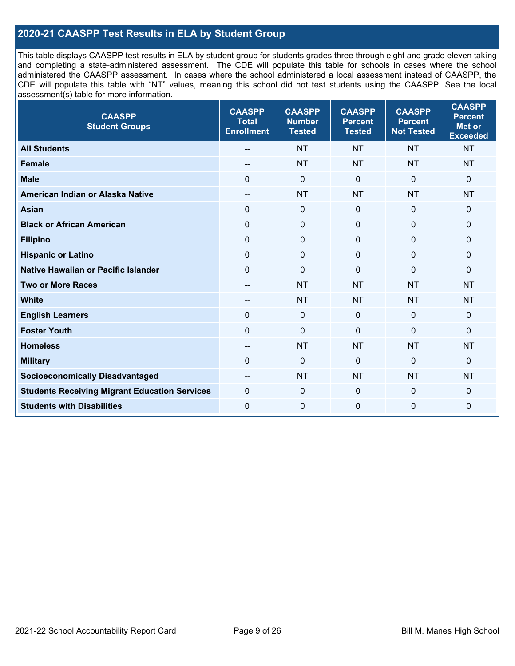## **2020-21 CAASPP Test Results in ELA by Student Group**

This table displays CAASPP test results in ELA by student group for students grades three through eight and grade eleven taking and completing a state-administered assessment. The CDE will populate this table for schools in cases where the school administered the CAASPP assessment. In cases where the school administered a local assessment instead of CAASPP, the CDE will populate this table with "NT" values, meaning this school did not test students using the CAASPP. See the local assessment(s) table for more information.

| <b>CAASPP</b><br><b>Student Groups</b>               | <b>CAASPP</b><br><b>Total</b><br><b>Enrollment</b> | <b>CAASPP</b><br><b>Number</b><br><b>Tested</b> | <b>CAASPP</b><br><b>Percent</b><br><b>Tested</b> | <b>CAASPP</b><br><b>Percent</b><br><b>Not Tested</b> | <b>CAASPP</b><br><b>Percent</b><br><b>Met or</b><br><b>Exceeded</b> |
|------------------------------------------------------|----------------------------------------------------|-------------------------------------------------|--------------------------------------------------|------------------------------------------------------|---------------------------------------------------------------------|
| <b>All Students</b>                                  | --                                                 | <b>NT</b>                                       | <b>NT</b>                                        | <b>NT</b>                                            | <b>NT</b>                                                           |
| <b>Female</b>                                        | --                                                 | <b>NT</b>                                       | <b>NT</b>                                        | <b>NT</b>                                            | <b>NT</b>                                                           |
| <b>Male</b>                                          | $\Omega$                                           | $\mathbf 0$                                     | $\Omega$                                         | $\mathbf 0$                                          | $\Omega$                                                            |
| American Indian or Alaska Native                     | $-$                                                | <b>NT</b>                                       | <b>NT</b>                                        | <b>NT</b>                                            | <b>NT</b>                                                           |
| <b>Asian</b>                                         | $\Omega$                                           | $\pmb{0}$                                       | $\mathbf 0$                                      | $\mathbf 0$                                          | 0                                                                   |
| <b>Black or African American</b>                     | $\mathbf 0$                                        | $\mathbf 0$                                     | $\Omega$                                         | $\Omega$                                             | 0                                                                   |
| <b>Filipino</b>                                      | $\mathbf 0$                                        | $\pmb{0}$                                       | $\Omega$                                         | $\mathbf 0$                                          | 0                                                                   |
| <b>Hispanic or Latino</b>                            | $\mathbf 0$                                        | $\mathbf 0$                                     | $\mathbf 0$                                      | $\mathbf 0$                                          | $\mathbf 0$                                                         |
| <b>Native Hawaiian or Pacific Islander</b>           | $\Omega$                                           | $\mathbf 0$                                     | $\mathbf 0$                                      | $\mathbf 0$                                          | 0                                                                   |
| <b>Two or More Races</b>                             | --                                                 | <b>NT</b>                                       | <b>NT</b>                                        | <b>NT</b>                                            | <b>NT</b>                                                           |
| <b>White</b>                                         | --                                                 | <b>NT</b>                                       | <b>NT</b>                                        | <b>NT</b>                                            | <b>NT</b>                                                           |
| <b>English Learners</b>                              | $\Omega$                                           | $\mathbf 0$                                     | $\mathbf 0$                                      | $\mathbf 0$                                          | $\mathbf 0$                                                         |
| <b>Foster Youth</b>                                  | $\mathbf 0$                                        | $\mathbf 0$                                     | $\mathbf 0$                                      | $\mathbf{0}$                                         | $\mathbf 0$                                                         |
| <b>Homeless</b>                                      | --                                                 | <b>NT</b>                                       | <b>NT</b>                                        | <b>NT</b>                                            | <b>NT</b>                                                           |
| <b>Military</b>                                      | $\Omega$                                           | $\pmb{0}$                                       | 0                                                | $\mathbf 0$                                          | 0                                                                   |
| <b>Socioeconomically Disadvantaged</b>               | $\overline{\phantom{a}}$                           | <b>NT</b>                                       | <b>NT</b>                                        | <b>NT</b>                                            | <b>NT</b>                                                           |
| <b>Students Receiving Migrant Education Services</b> | 0                                                  | $\pmb{0}$                                       | 0                                                | $\mathbf{0}$                                         | 0                                                                   |
| <b>Students with Disabilities</b>                    | $\mathbf 0$                                        | $\mathbf 0$                                     | $\mathbf 0$                                      | $\mathbf 0$                                          | 0                                                                   |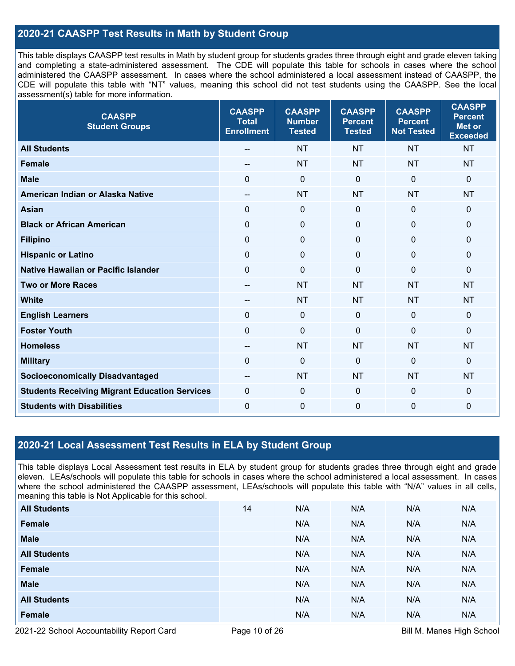## **2020-21 CAASPP Test Results in Math by Student Group**

This table displays CAASPP test results in Math by student group for students grades three through eight and grade eleven taking and completing a state-administered assessment. The CDE will populate this table for schools in cases where the school administered the CAASPP assessment. In cases where the school administered a local assessment instead of CAASPP, the CDE will populate this table with "NT" values, meaning this school did not test students using the CAASPP. See the local assessment(s) table for more information.

| <b>CAASPP</b><br><b>Student Groups</b>               | <b>CAASPP</b><br><b>Total</b><br><b>Enrollment</b> | <b>CAASPP</b><br><b>Number</b><br><b>Tested</b> | <b>CAASPP</b><br><b>Percent</b><br><b>Tested</b> | <b>CAASPP</b><br><b>Percent</b><br><b>Not Tested</b> | <b>CAASPP</b><br><b>Percent</b><br><b>Met or</b><br><b>Exceeded</b> |
|------------------------------------------------------|----------------------------------------------------|-------------------------------------------------|--------------------------------------------------|------------------------------------------------------|---------------------------------------------------------------------|
| <b>All Students</b>                                  |                                                    | <b>NT</b>                                       | <b>NT</b>                                        | <b>NT</b>                                            | <b>NT</b>                                                           |
| <b>Female</b>                                        |                                                    | <b>NT</b>                                       | <b>NT</b>                                        | <b>NT</b>                                            | <b>NT</b>                                                           |
| <b>Male</b>                                          | $\Omega$                                           | $\mathbf 0$                                     | $\mathbf 0$                                      | $\mathbf 0$                                          | $\mathbf{0}$                                                        |
| American Indian or Alaska Native                     | --                                                 | <b>NT</b>                                       | <b>NT</b>                                        | <b>NT</b>                                            | <b>NT</b>                                                           |
| <b>Asian</b>                                         | $\mathbf 0$                                        | $\boldsymbol{0}$                                | $\mathbf 0$                                      | $\mathbf 0$                                          | $\mathbf 0$                                                         |
| <b>Black or African American</b>                     | $\mathbf{0}$                                       | $\mathbf 0$                                     | $\Omega$                                         | $\Omega$                                             | $\mathbf 0$                                                         |
| <b>Filipino</b>                                      | $\mathbf 0$                                        | $\mathbf 0$                                     | $\mathbf{0}$                                     | $\mathbf 0$                                          | 0                                                                   |
| <b>Hispanic or Latino</b>                            | $\mathbf 0$                                        | $\mathbf 0$                                     | $\mathbf 0$                                      | $\mathbf 0$                                          | $\mathbf 0$                                                         |
| <b>Native Hawaiian or Pacific Islander</b>           | $\mathbf 0$                                        | $\boldsymbol{0}$                                | $\mathbf 0$                                      | $\Omega$                                             | $\mathbf 0$                                                         |
| <b>Two or More Races</b>                             | $\overline{\phantom{a}}$                           | <b>NT</b>                                       | <b>NT</b>                                        | <b>NT</b>                                            | <b>NT</b>                                                           |
| <b>White</b>                                         | --                                                 | <b>NT</b>                                       | <b>NT</b>                                        | <b>NT</b>                                            | <b>NT</b>                                                           |
| <b>English Learners</b>                              | $\mathbf{0}$                                       | $\mathbf 0$                                     | $\mathbf{0}$                                     | $\mathbf{0}$                                         | $\mathbf 0$                                                         |
| <b>Foster Youth</b>                                  | 0                                                  | $\mathbf 0$                                     | $\mathbf{0}$                                     | $\mathbf{0}$                                         | $\mathbf 0$                                                         |
| <b>Homeless</b>                                      | --                                                 | <b>NT</b>                                       | <b>NT</b>                                        | <b>NT</b>                                            | <b>NT</b>                                                           |
| <b>Military</b>                                      | 0                                                  | 0                                               | $\mathbf{0}$                                     | 0                                                    | $\mathbf 0$                                                         |
| <b>Socioeconomically Disadvantaged</b>               | $- -$                                              | <b>NT</b>                                       | <b>NT</b>                                        | <b>NT</b>                                            | <b>NT</b>                                                           |
| <b>Students Receiving Migrant Education Services</b> | $\mathbf 0$                                        | $\mathbf 0$                                     | $\mathbf 0$                                      | 0                                                    | $\mathbf 0$                                                         |
| <b>Students with Disabilities</b>                    | 0                                                  | $\boldsymbol{0}$                                | $\Omega$                                         | 0                                                    | 0                                                                   |

## **2020-21 Local Assessment Test Results in ELA by Student Group**

This table displays Local Assessment test results in ELA by student group for students grades three through eight and grade eleven. LEAs/schools will populate this table for schools in cases where the school administered a local assessment. In cases where the school administered the CAASPP assessment, LEAs/schools will populate this table with "N/A" values in all cells, meaning this table is Not Applicable for this school.

| <b>All Students</b> | 14 | N/A | N/A | N/A | N/A |
|---------------------|----|-----|-----|-----|-----|
| Female              |    | N/A | N/A | N/A | N/A |
| <b>Male</b>         |    | N/A | N/A | N/A | N/A |
| <b>All Students</b> |    | N/A | N/A | N/A | N/A |
| Female              |    | N/A | N/A | N/A | N/A |
| <b>Male</b>         |    | N/A | N/A | N/A | N/A |
| <b>All Students</b> |    | N/A | N/A | N/A | N/A |
| Female              |    | N/A | N/A | N/A | N/A |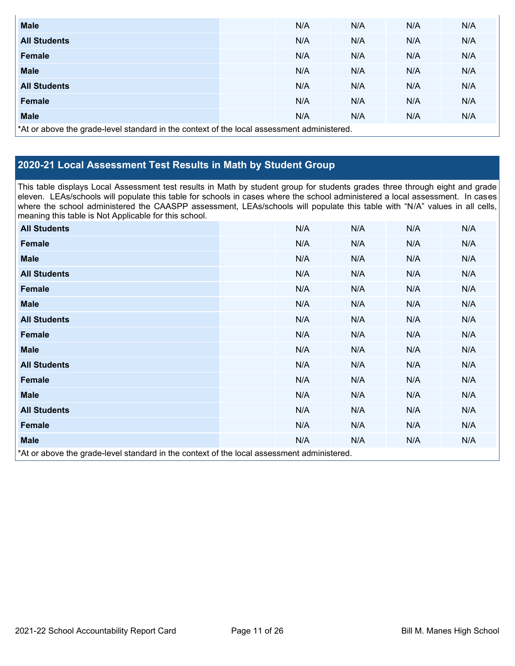| <b>Male</b>                                                                                |  | N/A | N/A | N/A | N/A |  |  |
|--------------------------------------------------------------------------------------------|--|-----|-----|-----|-----|--|--|
| <b>All Students</b>                                                                        |  | N/A | N/A | N/A | N/A |  |  |
| <b>Female</b>                                                                              |  | N/A | N/A | N/A | N/A |  |  |
| <b>Male</b>                                                                                |  | N/A | N/A | N/A | N/A |  |  |
| <b>All Students</b>                                                                        |  | N/A | N/A | N/A | N/A |  |  |
| <b>Female</b>                                                                              |  | N/A | N/A | N/A | N/A |  |  |
| <b>Male</b>                                                                                |  | N/A | N/A | N/A | N/A |  |  |
| *At or above the grade-level standard in the context of the local assessment administered. |  |     |     |     |     |  |  |

## **2020-21 Local Assessment Test Results in Math by Student Group**

This table displays Local Assessment test results in Math by student group for students grades three through eight and grade eleven. LEAs/schools will populate this table for schools in cases where the school administered a local assessment. In cases where the school administered the CAASPP assessment, LEAs/schools will populate this table with "N/A" values in all cells, meaning this table is Not Applicable for this school.

| <b>All Students</b>                                                                        |  | N/A | N/A | N/A | N/A |  |  |
|--------------------------------------------------------------------------------------------|--|-----|-----|-----|-----|--|--|
| Female                                                                                     |  | N/A | N/A | N/A | N/A |  |  |
| <b>Male</b>                                                                                |  | N/A | N/A | N/A | N/A |  |  |
| <b>All Students</b>                                                                        |  | N/A | N/A | N/A | N/A |  |  |
| <b>Female</b>                                                                              |  | N/A | N/A | N/A | N/A |  |  |
| <b>Male</b>                                                                                |  | N/A | N/A | N/A | N/A |  |  |
| <b>All Students</b>                                                                        |  | N/A | N/A | N/A | N/A |  |  |
| <b>Female</b>                                                                              |  | N/A | N/A | N/A | N/A |  |  |
| <b>Male</b>                                                                                |  | N/A | N/A | N/A | N/A |  |  |
| <b>All Students</b>                                                                        |  | N/A | N/A | N/A | N/A |  |  |
| Female                                                                                     |  | N/A | N/A | N/A | N/A |  |  |
| <b>Male</b>                                                                                |  | N/A | N/A | N/A | N/A |  |  |
| <b>All Students</b>                                                                        |  | N/A | N/A | N/A | N/A |  |  |
| Female                                                                                     |  | N/A | N/A | N/A | N/A |  |  |
| <b>Male</b>                                                                                |  | N/A | N/A | N/A | N/A |  |  |
| *At or above the grade-level standard in the context of the local assessment administered. |  |     |     |     |     |  |  |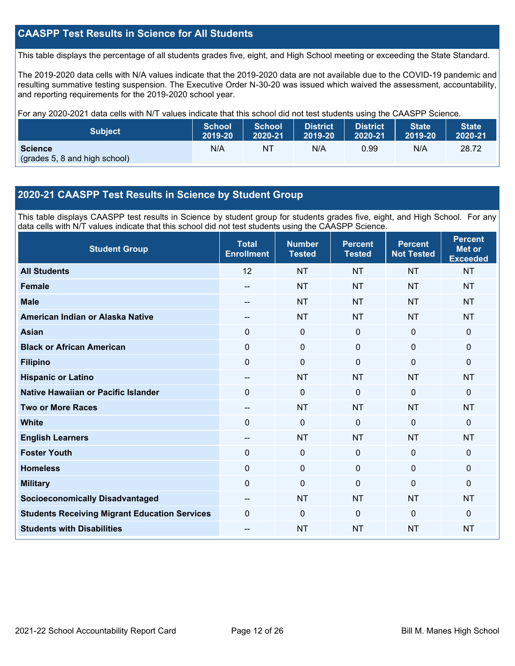## **CAASPP Test Results in Science for All Students**

This table displays the percentage of all students grades five, eight, and High School meeting or exceeding the State Standard.

The 2019-2020 data cells with N/A values indicate that the 2019-2020 data are not available due to the COVID-19 pandemic and resulting summative testing suspension. The Executive Order N-30-20 was issued which waived the assessment, accountability, and reporting requirements for the 2019-2020 school year.

For any 2020-2021 data cells with N/T values indicate that this school did not test students using the CAASPP Science.

| <b>Subject</b>                                  | <b>School</b> | <b>School</b> | <b>District</b> | District. | <b>State</b> | <b>State</b> |
|-------------------------------------------------|---------------|---------------|-----------------|-----------|--------------|--------------|
|                                                 | 2019-20       | 2020-21       | 2019-20         | 2020-21   | 2019-20      | 2020-21      |
| <b>Science</b><br>(grades 5, 8 and high school) | N/A           | NT            | N/A             | 0.99      | N/A          | 28.72        |

## **2020-21 CAASPP Test Results in Science by Student Group**

This table displays CAASPP test results in Science by student group for students grades five, eight, and High School. For any data cells with N/T values indicate that this school did not test students using the CAASPP Science.

| <b>Student Group</b>                                 | <b>Total</b><br><b>Enrollment</b> | <b>Number</b><br><b>Tested</b> | <b>Percent</b><br><b>Tested</b> | <b>Percent</b><br><b>Not Tested</b> | <b>Percent</b><br><b>Met or</b><br><b>Exceeded</b> |
|------------------------------------------------------|-----------------------------------|--------------------------------|---------------------------------|-------------------------------------|----------------------------------------------------|
| <b>All Students</b>                                  | 12                                | <b>NT</b>                      | <b>NT</b>                       | <b>NT</b>                           | <b>NT</b>                                          |
| <b>Female</b>                                        | --                                | <b>NT</b>                      | <b>NT</b>                       | <b>NT</b>                           | <b>NT</b>                                          |
| <b>Male</b>                                          | --                                | <b>NT</b>                      | <b>NT</b>                       | <b>NT</b>                           | <b>NT</b>                                          |
| American Indian or Alaska Native                     | --                                | <b>NT</b>                      | <b>NT</b>                       | <b>NT</b>                           | <b>NT</b>                                          |
| <b>Asian</b>                                         | 0                                 | $\mathbf 0$                    | $\mathbf 0$                     | $\mathbf 0$                         | $\mathbf 0$                                        |
| <b>Black or African American</b>                     | 0                                 | $\pmb{0}$                      | $\mathbf 0$                     | $\mathbf 0$                         | $\pmb{0}$                                          |
| <b>Filipino</b>                                      | 0                                 | $\mathbf 0$                    | $\mathbf{0}$                    | $\Omega$                            | $\mathbf{0}$                                       |
| <b>Hispanic or Latino</b>                            | $\overline{\phantom{m}}$          | <b>NT</b>                      | <b>NT</b>                       | <b>NT</b>                           | <b>NT</b>                                          |
| Native Hawaiian or Pacific Islander                  | 0                                 | $\mathbf 0$                    | $\Omega$                        | $\Omega$                            | $\mathbf 0$                                        |
| <b>Two or More Races</b>                             | --                                | <b>NT</b>                      | <b>NT</b>                       | <b>NT</b>                           | <b>NT</b>                                          |
| <b>White</b>                                         | $\Omega$                          | 0                              | $\mathbf{0}$                    | $\mathbf{0}$                        | $\mathbf{0}$                                       |
| <b>English Learners</b>                              | $\sim$                            | <b>NT</b>                      | <b>NT</b>                       | <b>NT</b>                           | <b>NT</b>                                          |
| <b>Foster Youth</b>                                  | 0                                 | $\mathbf 0$                    | $\mathbf 0$                     | $\mathbf 0$                         | $\mathbf 0$                                        |
| <b>Homeless</b>                                      | 0                                 | $\pmb{0}$                      | $\mathbf 0$                     | 0                                   | $\mathbf 0$                                        |
| <b>Military</b>                                      | 0                                 | 0                              | $\mathbf{0}$                    | $\Omega$                            | $\mathbf 0$                                        |
| <b>Socioeconomically Disadvantaged</b>               | --                                | <b>NT</b>                      | <b>NT</b>                       | <b>NT</b>                           | <b>NT</b>                                          |
| <b>Students Receiving Migrant Education Services</b> | $\Omega$                          | 0                              | $\Omega$                        | $\Omega$                            | $\mathbf{0}$                                       |
| <b>Students with Disabilities</b>                    | --                                | <b>NT</b>                      | <b>NT</b>                       | <b>NT</b>                           | <b>NT</b>                                          |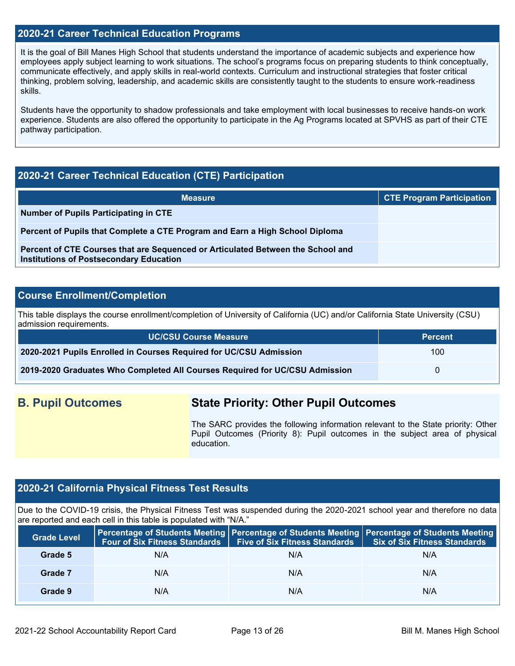## **2020-21 Career Technical Education Programs**

It is the goal of Bill Manes High School that students understand the importance of academic subjects and experience how employees apply subject learning to work situations. The school's programs focus on preparing students to think conceptually, communicate effectively, and apply skills in real-world contexts. Curriculum and instructional strategies that foster critical thinking, problem solving, leadership, and academic skills are consistently taught to the students to ensure work-readiness skills.

Students have the opportunity to shadow professionals and take employment with local businesses to receive hands-on work experience. Students are also offered the opportunity to participate in the Ag Programs located at SPVHS as part of their CTE pathway participation.

## **2020-21 Career Technical Education (CTE) Participation**

| <b>Measure</b>                                                                                                                    | <b>CTE Program Participation</b> |
|-----------------------------------------------------------------------------------------------------------------------------------|----------------------------------|
| Number of Pupils Participating in CTE                                                                                             |                                  |
| Percent of Pupils that Complete a CTE Program and Earn a High School Diploma                                                      |                                  |
| Percent of CTE Courses that are Sequenced or Articulated Between the School and<br><b>Institutions of Postsecondary Education</b> |                                  |

## **Course Enrollment/Completion**

This table displays the course enrollment/completion of University of California (UC) and/or California State University (CSU) admission requirements.

| <b>UC/CSU Course Measure</b>                                                | <b>Percent</b>   |
|-----------------------------------------------------------------------------|------------------|
| 2020-2021 Pupils Enrolled in Courses Required for UC/CSU Admission          | 100 <sup>°</sup> |
| 2019-2020 Graduates Who Completed All Courses Required for UC/CSU Admission | $\mathbf{U}$     |

# **B. Pupil Outcomes State Priority: Other Pupil Outcomes**

The SARC provides the following information relevant to the State priority: Other Pupil Outcomes (Priority 8): Pupil outcomes in the subject area of physical education.

## **2020-21 California Physical Fitness Test Results**

Due to the COVID-19 crisis, the Physical Fitness Test was suspended during the 2020-2021 school year and therefore no data are reported and each cell in this table is populated with "N/A."

| <b>Grade Level</b> | Four of Six Fitness Standards   Five of Six Fitness Standards |     | <b>Percentage of Students Meeting   Percentage of Students Meeting   Percentage of Students Meeting  </b><br><b>Six of Six Fitness Standards</b> |
|--------------------|---------------------------------------------------------------|-----|--------------------------------------------------------------------------------------------------------------------------------------------------|
| Grade 5            | N/A                                                           | N/A | N/A                                                                                                                                              |
| Grade 7            | N/A                                                           | N/A | N/A                                                                                                                                              |
| Grade 9            | N/A                                                           | N/A | N/A                                                                                                                                              |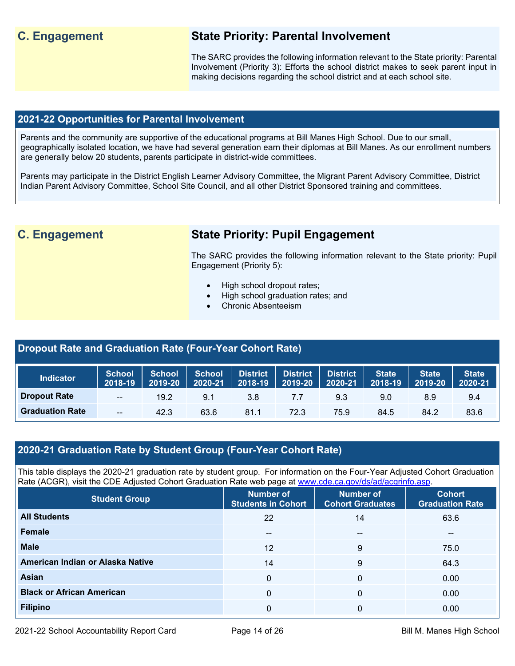# **C. Engagement State Priority: Parental Involvement**

The SARC provides the following information relevant to the State priority: Parental Involvement (Priority 3): Efforts the school district makes to seek parent input in making decisions regarding the school district and at each school site.

## **2021-22 Opportunities for Parental Involvement**

Parents and the community are supportive of the educational programs at Bill Manes High School. Due to our small, geographically isolated location, we have had several generation earn their diplomas at Bill Manes. As our enrollment numbers are generally below 20 students, parents participate in district-wide committees.

Parents may participate in the District English Learner Advisory Committee, the Migrant Parent Advisory Committee, District Indian Parent Advisory Committee, School Site Council, and all other District Sponsored training and committees.

# **C. Engagement State Priority: Pupil Engagement**

The SARC provides the following information relevant to the State priority: Pupil Engagement (Priority 5):

- High school dropout rates;
- High school graduation rates; and
- Chronic Absenteeism

## **Dropout Rate and Graduation Rate (Four-Year Cohort Rate)**

| <b>Indicator</b>       | <b>School</b><br>2018-19 | <b>School</b><br>2019-20 | School District<br>2020-21 | 2018-19 | District District<br>2019-20 2020-21 |      | State  <br>2018-19 | <b>State</b><br>$ 2019-20 $ | <b>State</b><br>2020-21 |
|------------------------|--------------------------|--------------------------|----------------------------|---------|--------------------------------------|------|--------------------|-----------------------------|-------------------------|
| <b>Dropout Rate</b>    | $\mathbf{u}$             | 19.2                     | 9.1                        | 3.8     | 7.7                                  | 9.3  | 9.0                | 8.9                         | 9.4                     |
| <b>Graduation Rate</b> | $- -$                    | 42.3                     | 63.6                       | 81.1    | 72.3                                 | 75.9 | 84.5               | 84.2                        | 83.6                    |

## **2020-21 Graduation Rate by Student Group (Four-Year Cohort Rate)**

This table displays the 2020-21 graduation rate by student group. For information on the Four-Year Adjusted Cohort Graduation Rate (ACGR), visit the CDE Adjusted Cohort Graduation Rate web page at [www.cde.ca.gov/ds/ad/acgrinfo.asp.](http://www.cde.ca.gov/ds/ad/acgrinfo.asp)

| <b>Student Group</b>             | <b>Number of</b><br><b>Students in Cohort</b> | Number of<br><b>Cohort Graduates</b> | <b>Cohort</b><br><b>Graduation Rate</b> |
|----------------------------------|-----------------------------------------------|--------------------------------------|-----------------------------------------|
| <b>All Students</b>              | 22                                            | 14                                   | 63.6                                    |
| <b>Female</b>                    | $- -$                                         | --                                   | $\sim$ $\sim$                           |
| <b>Male</b>                      | 12                                            | 9                                    | 75.0                                    |
| American Indian or Alaska Native | 14                                            | 9                                    | 64.3                                    |
| Asian                            | 0                                             | 0                                    | 0.00                                    |
| <b>Black or African American</b> | $\Omega$                                      | 0                                    | 0.00                                    |
| <b>Filipino</b>                  | 0                                             | 0                                    | 0.00                                    |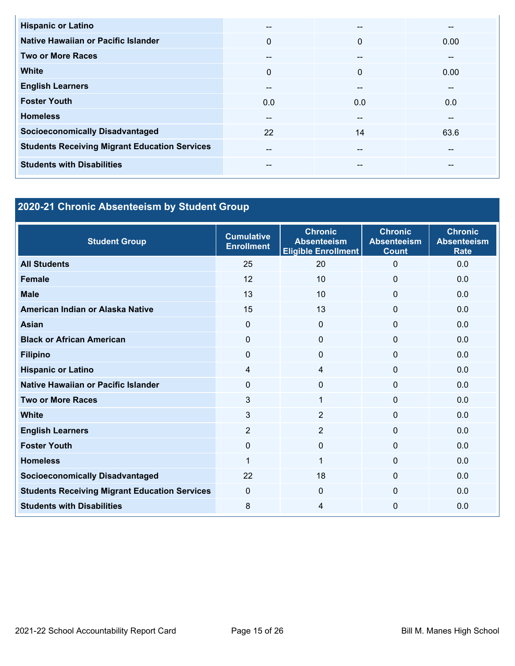| <b>Hispanic or Latino</b>                            | $- -$        | --           | --   |
|------------------------------------------------------|--------------|--------------|------|
| Native Hawaiian or Pacific Islander                  | $\mathbf{0}$ | $\Omega$     | 0.00 |
| <b>Two or More Races</b>                             | $- -$        | --           | --   |
| <b>White</b>                                         | $\mathbf{0}$ | $\mathbf{0}$ | 0.00 |
| <b>English Learners</b>                              | $- -$        | --           | --   |
| <b>Foster Youth</b>                                  | 0.0          | 0.0          | 0.0  |
| <b>Homeless</b>                                      | $- -$        | --           | --   |
| <b>Socioeconomically Disadvantaged</b>               | 22           | 14           | 63.6 |
| <b>Students Receiving Migrant Education Services</b> | $- -$        | --           | --   |
| <b>Students with Disabilities</b>                    | --           | --           | --   |

# **2020-21 Chronic Absenteeism by Student Group**

| <b>Student Group</b>                                 | <b>Cumulative</b><br><b>Enrollment</b> | <b>Chronic</b><br><b>Absenteeism</b><br><b>Eligible Enrollment</b> | <b>Chronic</b><br><b>Absenteeism</b><br><b>Count</b> | <b>Chronic</b><br><b>Absenteeism</b><br><b>Rate</b> |
|------------------------------------------------------|----------------------------------------|--------------------------------------------------------------------|------------------------------------------------------|-----------------------------------------------------|
| <b>All Students</b>                                  | 25                                     | 20                                                                 | $\Omega$                                             | 0.0                                                 |
| <b>Female</b>                                        | 12                                     | 10                                                                 | $\Omega$                                             | 0.0                                                 |
| <b>Male</b>                                          | 13                                     | 10 <sup>1</sup>                                                    | $\Omega$                                             | 0.0                                                 |
| American Indian or Alaska Native                     | 15                                     | 13                                                                 | $\Omega$                                             | 0.0                                                 |
| <b>Asian</b>                                         | $\mathbf{0}$                           | 0                                                                  | 0                                                    | 0.0                                                 |
| <b>Black or African American</b>                     | $\Omega$                               | $\Omega$                                                           | 0                                                    | 0.0                                                 |
| <b>Filipino</b>                                      | $\mathbf{0}$                           | 0                                                                  | $\Omega$                                             | 0.0                                                 |
| <b>Hispanic or Latino</b>                            | $\overline{4}$                         | 4                                                                  | $\Omega$                                             | 0.0                                                 |
| Native Hawaiian or Pacific Islander                  | $\Omega$                               | $\mathbf{0}$                                                       | $\Omega$                                             | 0.0                                                 |
| <b>Two or More Races</b>                             | 3                                      | 1                                                                  | 0                                                    | 0.0                                                 |
| <b>White</b>                                         | 3                                      | $\overline{2}$                                                     | $\Omega$                                             | 0.0                                                 |
| <b>English Learners</b>                              | $\overline{2}$                         | $\overline{2}$                                                     | $\Omega$                                             | 0.0                                                 |
| <b>Foster Youth</b>                                  | $\Omega$                               | $\Omega$                                                           | $\Omega$                                             | 0.0                                                 |
| <b>Homeless</b>                                      | 1                                      | 1                                                                  | $\mathbf{0}$                                         | 0.0                                                 |
| <b>Socioeconomically Disadvantaged</b>               | 22                                     | 18                                                                 | 0                                                    | 0.0                                                 |
| <b>Students Receiving Migrant Education Services</b> | $\mathbf{0}$                           | $\mathbf{0}$                                                       | $\Omega$                                             | 0.0                                                 |
| <b>Students with Disabilities</b>                    | 8                                      | 4                                                                  | 0                                                    | 0.0                                                 |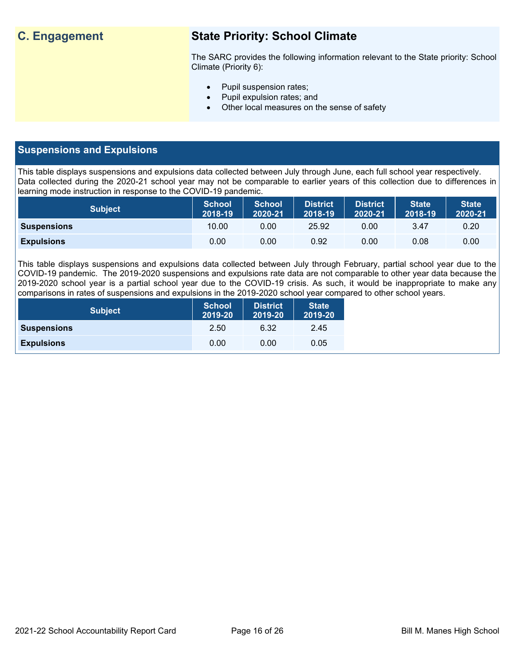# **C. Engagement State Priority: School Climate**

The SARC provides the following information relevant to the State priority: School Climate (Priority 6):

- Pupil suspension rates;
- Pupil expulsion rates; and
- Other local measures on the sense of safety

## **Suspensions and Expulsions**

This table displays suspensions and expulsions data collected between July through June, each full school year respectively. Data collected during the 2020-21 school year may not be comparable to earlier years of this collection due to differences in learning mode instruction in response to the COVID-19 pandemic.

| <b>Subject</b>     | <b>School</b><br>2018-19 | <b>School</b><br>2020-21 | <b>District</b><br>2018-19 | <b>District</b><br>2020-21 | <b>State</b><br>2018-19 | <b>State</b><br>2020-21 |
|--------------------|--------------------------|--------------------------|----------------------------|----------------------------|-------------------------|-------------------------|
| <b>Suspensions</b> | 10.00                    | 0.00                     | 25.92                      | 0.00                       | 3.47                    | 0.20                    |
| <b>Expulsions</b>  | 0.00                     | 0.00                     | 0.92                       | 0.00                       | 0.08                    | 0.00                    |

This table displays suspensions and expulsions data collected between July through February, partial school year due to the COVID-19 pandemic. The 2019-2020 suspensions and expulsions rate data are not comparable to other year data because the 2019-2020 school year is a partial school year due to the COVID-19 crisis. As such, it would be inappropriate to make any comparisons in rates of suspensions and expulsions in the 2019-2020 school year compared to other school years.

| <b>Subject</b>     | <b>School</b><br>2019-20 | <b>District</b><br>2019-20 | <b>State</b><br>2019-20 |
|--------------------|--------------------------|----------------------------|-------------------------|
| <b>Suspensions</b> | 2.50                     | 6.32                       | 2.45                    |
| <b>Expulsions</b>  | 0.00                     | 0.00                       | 0.05                    |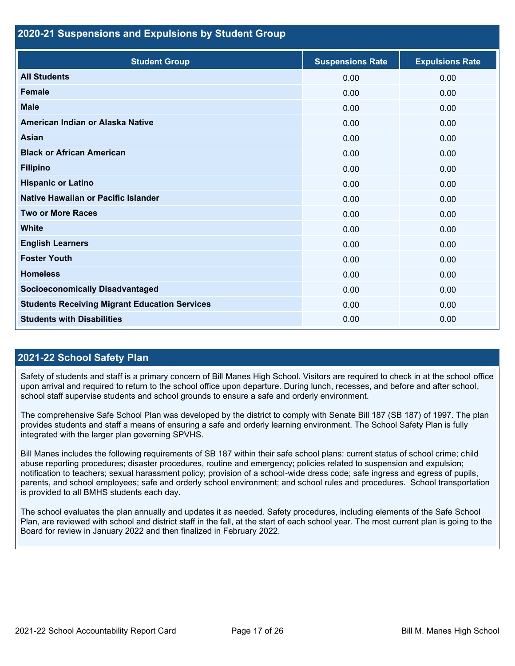## **2020-21 Suspensions and Expulsions by Student Group**

| <b>Student Group</b>                                 | <b>Suspensions Rate</b> | <b>Expulsions Rate</b> |
|------------------------------------------------------|-------------------------|------------------------|
| <b>All Students</b>                                  | 0.00                    | 0.00                   |
| <b>Female</b>                                        | 0.00                    | 0.00                   |
| <b>Male</b>                                          | 0.00                    | 0.00                   |
| American Indian or Alaska Native                     | 0.00                    | 0.00                   |
| <b>Asian</b>                                         | 0.00                    | 0.00                   |
| <b>Black or African American</b>                     | 0.00                    | 0.00                   |
| <b>Filipino</b>                                      | 0.00                    | 0.00                   |
| <b>Hispanic or Latino</b>                            | 0.00                    | 0.00                   |
| Native Hawaiian or Pacific Islander                  | 0.00                    | 0.00                   |
| <b>Two or More Races</b>                             | 0.00                    | 0.00                   |
| <b>White</b>                                         | 0.00                    | 0.00                   |
| <b>English Learners</b>                              | 0.00                    | 0.00                   |
| <b>Foster Youth</b>                                  | 0.00                    | 0.00                   |
| <b>Homeless</b>                                      | 0.00                    | 0.00                   |
| <b>Socioeconomically Disadvantaged</b>               | 0.00                    | 0.00                   |
| <b>Students Receiving Migrant Education Services</b> | 0.00                    | 0.00                   |
| <b>Students with Disabilities</b>                    | 0.00                    | 0.00                   |

## **2021-22 School Safety Plan**

Safety of students and staff is a primary concern of Bill Manes High School. Visitors are required to check in at the school office upon arrival and required to return to the school office upon departure. During lunch, recesses, and before and after school, school staff supervise students and school grounds to ensure a safe and orderly environment.

The comprehensive Safe School Plan was developed by the district to comply with Senate Bill 187 (SB 187) of 1997. The plan provides students and staff a means of ensuring a safe and orderly learning environment. The School Safety Plan is fully integrated with the larger plan governing SPVHS.

Bill Manes includes the following requirements of SB 187 within their safe school plans: current status of school crime; child abuse reporting procedures; disaster procedures, routine and emergency; policies related to suspension and expulsion; notification to teachers; sexual harassment policy; provision of a school-wide dress code; safe ingress and egress of pupils, parents, and school employees; safe and orderly school environment; and school rules and procedures. School transportation is provided to all BMHS students each day.

The school evaluates the plan annually and updates it as needed. Safety procedures, including elements of the Safe School Plan, are reviewed with school and district staff in the fall, at the start of each school year. The most current plan is going to the Board for review in January 2022 and then finalized in February 2022.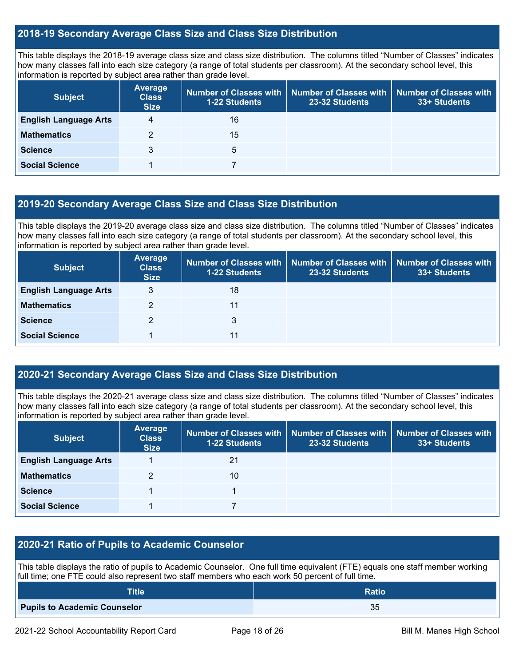## **2018-19 Secondary Average Class Size and Class Size Distribution**

This table displays the 2018-19 average class size and class size distribution. The columns titled "Number of Classes" indicates how many classes fall into each size category (a range of total students per classroom). At the secondary school level, this information is reported by subject area rather than grade level.

| <b>Subject</b>               | <b>Average</b><br><b>Class</b><br><b>Size</b> | <b>1-22 Students</b> | Number of Classes with   Number of Classes with  <br>23-32 Students | Number of Classes with<br>33+ Students |
|------------------------------|-----------------------------------------------|----------------------|---------------------------------------------------------------------|----------------------------------------|
| <b>English Language Arts</b> | 4                                             | 16                   |                                                                     |                                        |
| <b>Mathematics</b>           |                                               | 15                   |                                                                     |                                        |
| <b>Science</b>               |                                               | 5                    |                                                                     |                                        |
| <b>Social Science</b>        |                                               |                      |                                                                     |                                        |

## **2019-20 Secondary Average Class Size and Class Size Distribution**

This table displays the 2019-20 average class size and class size distribution. The columns titled "Number of Classes" indicates how many classes fall into each size category (a range of total students per classroom). At the secondary school level, this information is reported by subject area rather than grade level.

| <b>Subject</b>               | Average<br><b>Class</b><br><b>Size</b> | <b>1-22 Students</b> | Number of Classes with   Number of Classes with   Number of Classes with<br>23-32 Students | 33+ Students |
|------------------------------|----------------------------------------|----------------------|--------------------------------------------------------------------------------------------|--------------|
| <b>English Language Arts</b> | 3                                      | 18                   |                                                                                            |              |
| <b>Mathematics</b>           |                                        | 11                   |                                                                                            |              |
| <b>Science</b>               | 2                                      | 3                    |                                                                                            |              |
| <b>Social Science</b>        |                                        |                      |                                                                                            |              |

## **2020-21 Secondary Average Class Size and Class Size Distribution**

This table displays the 2020-21 average class size and class size distribution. The columns titled "Number of Classes" indicates how many classes fall into each size category (a range of total students per classroom). At the secondary school level, this information is reported by subject area rather than grade level.

| <b>Subject</b>               | Average<br><b>Class</b><br><b>Size</b> | <b>1-22 Students</b> | Number of Classes with   Number of Classes with  <br>23-32 Students | <b>Number of Classes with</b><br>33+ Students |
|------------------------------|----------------------------------------|----------------------|---------------------------------------------------------------------|-----------------------------------------------|
| <b>English Language Arts</b> |                                        | 21                   |                                                                     |                                               |
| <b>Mathematics</b>           |                                        | 10                   |                                                                     |                                               |
| <b>Science</b>               |                                        |                      |                                                                     |                                               |
| <b>Social Science</b>        |                                        |                      |                                                                     |                                               |

## **2020-21 Ratio of Pupils to Academic Counselor**

This table displays the ratio of pupils to Academic Counselor. One full time equivalent (FTE) equals one staff member working full time; one FTE could also represent two staff members who each work 50 percent of full time.

| <b>Title</b>                        | <b>Ratio</b> |
|-------------------------------------|--------------|
| <b>Pupils to Academic Counselor</b> | ახ           |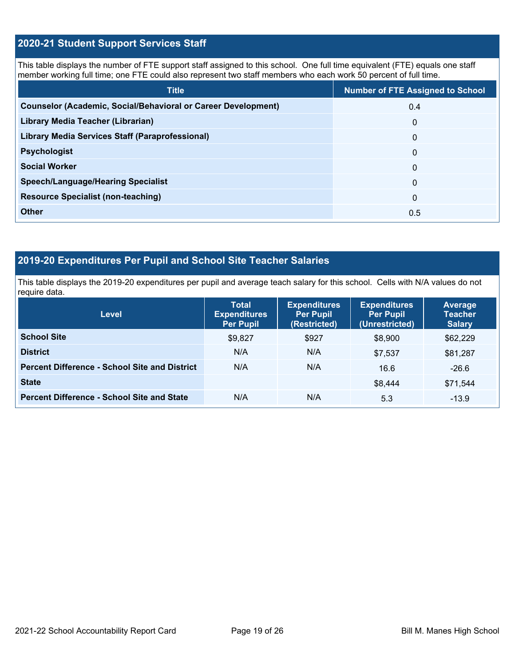## **2020-21 Student Support Services Staff**

This table displays the number of FTE support staff assigned to this school. One full time equivalent (FTE) equals one staff member working full time; one FTE could also represent two staff members who each work 50 percent of full time.

| <b>Title</b>                                                         | <b>Number of FTE Assigned to School</b> |
|----------------------------------------------------------------------|-----------------------------------------|
| <b>Counselor (Academic, Social/Behavioral or Career Development)</b> | 0.4                                     |
| Library Media Teacher (Librarian)                                    | $\Omega$                                |
| <b>Library Media Services Staff (Paraprofessional)</b>               | $\Omega$                                |
| <b>Psychologist</b>                                                  | $\mathbf{0}$                            |
| <b>Social Worker</b>                                                 | $\Omega$                                |
| <b>Speech/Language/Hearing Specialist</b>                            | $\Omega$                                |
| <b>Resource Specialist (non-teaching)</b>                            | $\mathbf{0}$                            |
| <b>Other</b>                                                         | 0.5                                     |

## **2019-20 Expenditures Per Pupil and School Site Teacher Salaries**

This table displays the 2019-20 expenditures per pupil and average teach salary for this school. Cells with N/A values do not require data.

| <b>Level</b>                                         | <b>Total</b><br><b>Expenditures</b><br><b>Per Pupil</b> | <b>Expenditures</b><br><b>Per Pupil</b><br>(Restricted) | <b>Expenditures</b><br><b>Per Pupil</b><br>(Unrestricted) | <b>Average</b><br><b>Teacher</b><br><b>Salary</b> |
|------------------------------------------------------|---------------------------------------------------------|---------------------------------------------------------|-----------------------------------------------------------|---------------------------------------------------|
| <b>School Site</b>                                   | \$9,827                                                 | \$927                                                   | \$8,900                                                   | \$62,229                                          |
| <b>District</b>                                      | N/A                                                     | N/A                                                     | \$7.537                                                   | \$81,287                                          |
| <b>Percent Difference - School Site and District</b> | N/A                                                     | N/A                                                     | 16.6                                                      | $-26.6$                                           |
| <b>State</b>                                         |                                                         |                                                         | \$8,444                                                   | \$71,544                                          |
| <b>Percent Difference - School Site and State</b>    | N/A                                                     | N/A                                                     | 5.3                                                       | $-13.9$                                           |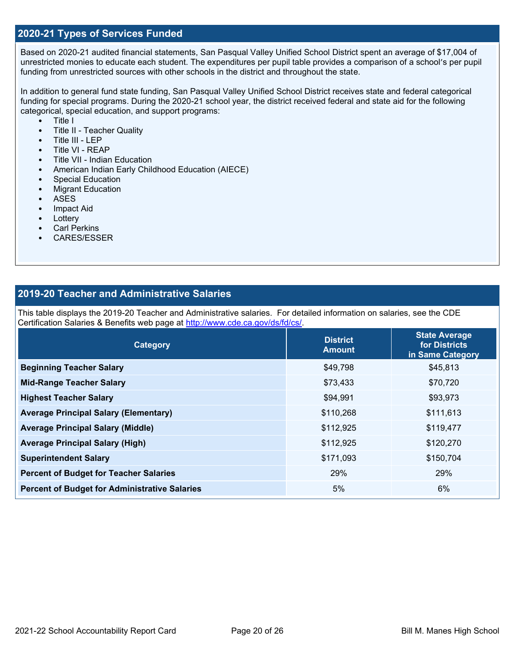## **2020-21 Types of Services Funded**

Based on 2020-21 audited financial statements, San Pasqual Valley Unified School District spent an average of \$17,004 of unrestricted monies to educate each student. The expenditures per pupil table provides a comparison of a school's per pupil funding from unrestricted sources with other schools in the district and throughout the state.

In addition to general fund state funding, San Pasqual Valley Unified School District receives state and federal categorical funding for special programs. During the 2020-21 school year, the district received federal and state aid for the following categorical, special education, and support programs:

- Title I
- Title II Teacher Quality
- Title III LEP
- Title VI REAP
- Title VII Indian Education
- American Indian Early Childhood Education (AIECE)
- Special Education
- Migrant Education
- ASES
- Impact Aid
- Lottery
- **Carl Perkins**
- CARES/ESSER

## **2019-20 Teacher and Administrative Salaries**

This table displays the 2019-20 Teacher and Administrative salaries. For detailed information on salaries, see the CDE Certification Salaries & Benefits web page at [http://www.cde.ca.gov/ds/fd/cs/.](http://www.cde.ca.gov/ds/fd/cs/)

| <b>Category</b>                                      | <b>District</b><br><b>Amount</b> | <b>State Average</b><br>for Districts<br>in Same Category |
|------------------------------------------------------|----------------------------------|-----------------------------------------------------------|
| <b>Beginning Teacher Salary</b>                      | \$49,798                         | \$45,813                                                  |
| <b>Mid-Range Teacher Salary</b>                      | \$73,433                         | \$70,720                                                  |
| <b>Highest Teacher Salary</b>                        | \$94,991                         | \$93,973                                                  |
| <b>Average Principal Salary (Elementary)</b>         | \$110,268                        | \$111,613                                                 |
| <b>Average Principal Salary (Middle)</b>             | \$112,925                        | \$119,477                                                 |
| <b>Average Principal Salary (High)</b>               | \$112,925                        | \$120,270                                                 |
| <b>Superintendent Salary</b>                         | \$171,093                        | \$150,704                                                 |
| <b>Percent of Budget for Teacher Salaries</b>        | 29%                              | 29%                                                       |
| <b>Percent of Budget for Administrative Salaries</b> | 5%                               | 6%                                                        |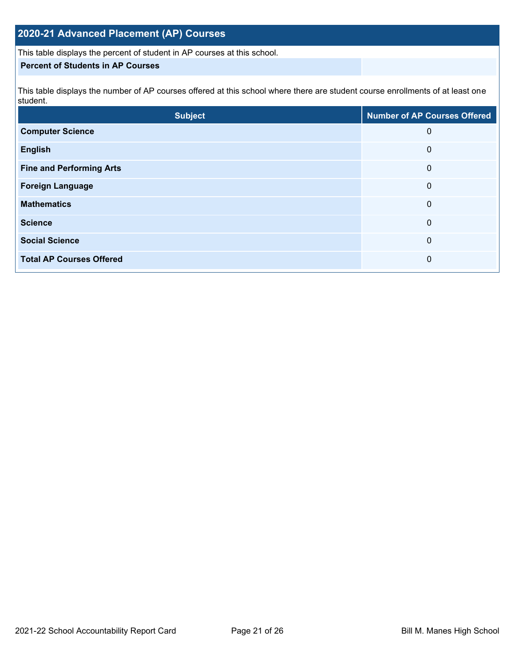## **2020-21 Advanced Placement (AP) Courses**

This table displays the percent of student in AP courses at this school.

## **Percent of Students in AP Courses**

This table displays the number of AP courses offered at this school where there are student course enrollments of at least one student.

| <b>Subject</b>                  | <b>Number of AP Courses Offered</b> |
|---------------------------------|-------------------------------------|
| <b>Computer Science</b>         | 0                                   |
| <b>English</b>                  | 0                                   |
| <b>Fine and Performing Arts</b> | 0                                   |
| <b>Foreign Language</b>         | 0                                   |
| <b>Mathematics</b>              | 0                                   |
| <b>Science</b>                  | 0                                   |
| <b>Social Science</b>           | 0                                   |
| <b>Total AP Courses Offered</b> | 0                                   |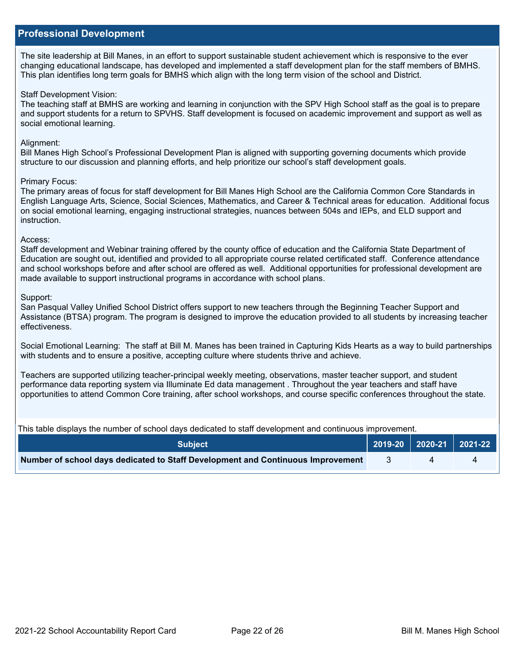## **Professional Development**

The site leadership at Bill Manes, in an effort to support sustainable student achievement which is responsive to the ever changing educational landscape, has developed and implemented a staff development plan for the staff members of BMHS. This plan identifies long term goals for BMHS which align with the long term vision of the school and District.

### Staff Development Vision:

The teaching staff at BMHS are working and learning in conjunction with the SPV High School staff as the goal is to prepare and support students for a return to SPVHS. Staff development is focused on academic improvement and support as well as social emotional learning.

### Alignment:

Bill Manes High School's Professional Development Plan is aligned with supporting governing documents which provide structure to our discussion and planning efforts, and help prioritize our school's staff development goals.

#### Primary Focus:

The primary areas of focus for staff development for Bill Manes High School are the California Common Core Standards in English Language Arts, Science, Social Sciences, Mathematics, and Career & Technical areas for education. Additional focus on social emotional learning, engaging instructional strategies, nuances between 504s and IEPs, and ELD support and instruction.

#### Access:

Staff development and Webinar training offered by the county office of education and the California State Department of Education are sought out, identified and provided to all appropriate course related certificated staff. Conference attendance and school workshops before and after school are offered as well. Additional opportunities for professional development are made available to support instructional programs in accordance with school plans.

### Support:

San Pasqual Valley Unified School District offers support to new teachers through the Beginning Teacher Support and Assistance (BTSA) program. The program is designed to improve the education provided to all students by increasing teacher effectiveness.

Social Emotional Learning: The staff at Bill M. Manes has been trained in Capturing Kids Hearts as a way to build partnerships with students and to ensure a positive, accepting culture where students thrive and achieve.

Teachers are supported utilizing teacher-principal weekly meeting, observations, master teacher support, and student performance data reporting system via Illuminate Ed data management . Throughout the year teachers and staff have opportunities to attend Common Core training, after school workshops, and course specific conferences throughout the state.

This table displays the number of school days dedicated to staff development and continuous improvement.

| <b>Subject</b>                                                                  | $\vert$ 2019-20 2020-21 2021-22 $\vert$ |  |
|---------------------------------------------------------------------------------|-----------------------------------------|--|
| Number of school days dedicated to Staff Development and Continuous Improvement |                                         |  |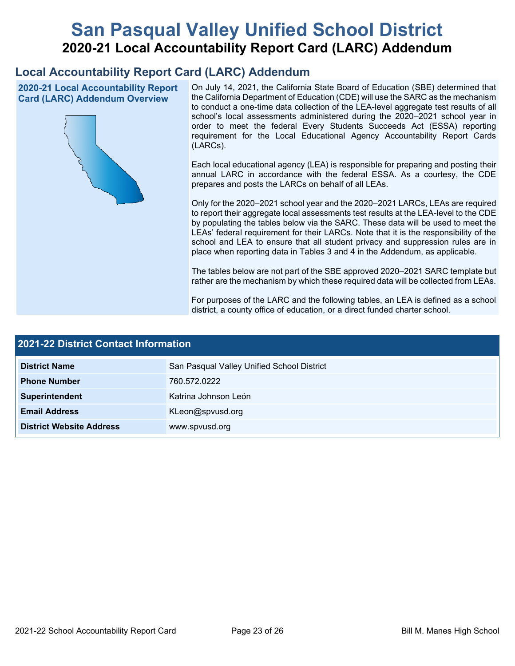# **San Pasqual Valley Unified School District 2020-21 Local Accountability Report Card (LARC) Addendum**

# **Local Accountability Report Card (LARC) Addendum**

**2020-21 Local Accountability Report Card (LARC) Addendum Overview**



On July 14, 2021, the California State Board of Education (SBE) determined that the California Department of Education (CDE) will use the SARC as the mechanism to conduct a one-time data collection of the LEA-level aggregate test results of all school's local assessments administered during the 2020–2021 school year in order to meet the federal Every Students Succeeds Act (ESSA) reporting requirement for the Local Educational Agency Accountability Report Cards (LARCs).

Each local educational agency (LEA) is responsible for preparing and posting their annual LARC in accordance with the federal ESSA. As a courtesy, the CDE prepares and posts the LARCs on behalf of all LEAs.

Only for the 2020–2021 school year and the 2020–2021 LARCs, LEAs are required to report their aggregate local assessments test results at the LEA-level to the CDE by populating the tables below via the SARC. These data will be used to meet the LEAs' federal requirement for their LARCs. Note that it is the responsibility of the school and LEA to ensure that all student privacy and suppression rules are in place when reporting data in Tables 3 and 4 in the Addendum, as applicable.

The tables below are not part of the SBE approved 2020–2021 SARC template but rather are the mechanism by which these required data will be collected from LEAs.

For purposes of the LARC and the following tables, an LEA is defined as a school district, a county office of education, or a direct funded charter school.

| <b>2021-22 District Contact Information</b> |                                            |  |  |  |  |
|---------------------------------------------|--------------------------------------------|--|--|--|--|
| <b>District Name</b>                        | San Pasqual Valley Unified School District |  |  |  |  |
| <b>Phone Number</b>                         | 760.572.0222                               |  |  |  |  |
| Superintendent                              | Katrina Johnson León                       |  |  |  |  |
| <b>Email Address</b>                        | KLeon@spvusd.org                           |  |  |  |  |
| <b>District Website Address</b>             | www.spvusd.org                             |  |  |  |  |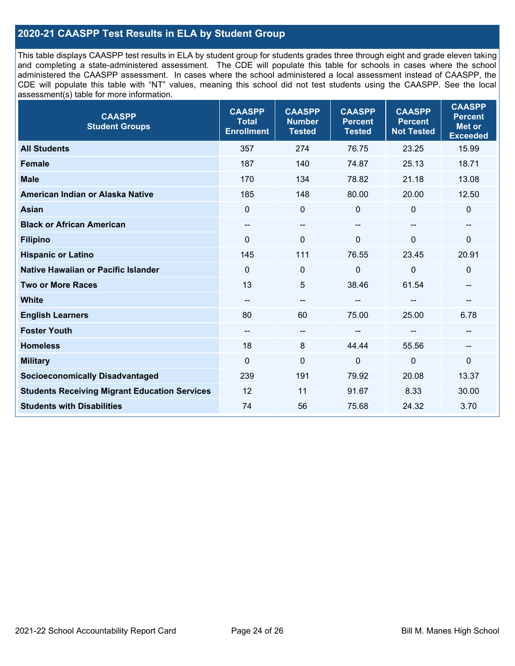## **2020-21 CAASPP Test Results in ELA by Student Group**

This table displays CAASPP test results in ELA by student group for students grades three through eight and grade eleven taking and completing a state-administered assessment. The CDE will populate this table for schools in cases where the school administered the CAASPP assessment. In cases where the school administered a local assessment instead of CAASPP, the CDE will populate this table with "NT" values, meaning this school did not test students using the CAASPP. See the local assessment(s) table for more information.

| <b>CAASPP</b><br><b>Total</b><br><b>Enrollment</b> | <b>CAASPP</b><br><b>Number</b><br><b>Tested</b> | <b>CAASPP</b><br><b>Percent</b><br><b>Tested</b> | <b>CAASPP</b><br><b>Percent</b><br><b>Not Tested</b> | <b>CAASPP</b><br><b>Percent</b><br>Met or<br><b>Exceeded</b> |
|----------------------------------------------------|-------------------------------------------------|--------------------------------------------------|------------------------------------------------------|--------------------------------------------------------------|
| 357                                                | 274                                             | 76.75                                            | 23.25                                                | 15.99                                                        |
| 187                                                | 140                                             | 74.87                                            | 25.13                                                | 18.71                                                        |
| 170                                                | 134                                             | 78.82                                            | 21.18                                                | 13.08                                                        |
| 185                                                | 148                                             | 80.00                                            | 20.00                                                | 12.50                                                        |
| $\mathbf{0}$                                       | $\pmb{0}$                                       | $\mathbf 0$                                      | $\Omega$                                             | 0                                                            |
| --                                                 | $\overline{\phantom{m}}$                        | --                                               | $\overline{\phantom{a}}$                             | --                                                           |
| $\Omega$                                           | $\mathbf 0$                                     | $\Omega$                                         | $\overline{0}$                                       | 0                                                            |
| 145                                                | 111                                             | 76.55                                            | 23.45                                                | 20.91                                                        |
| $\mathbf 0$                                        | $\pmb{0}$                                       | 0                                                | $\overline{0}$                                       | 0                                                            |
| 13                                                 | 5                                               | 38.46                                            | 61.54                                                | --                                                           |
| $\qquad \qquad -$                                  | $\overline{\phantom{m}}$                        |                                                  | --                                                   | --                                                           |
| 80                                                 | 60                                              | 75.00                                            | 25.00                                                | 6.78                                                         |
| --                                                 | $\overline{\phantom{a}}$                        |                                                  | --                                                   | --                                                           |
| 18                                                 | 8                                               | 44.44                                            | 55.56                                                | --                                                           |
| $\mathbf 0$                                        | $\mathbf 0$                                     | $\mathbf 0$                                      | $\mathbf 0$                                          | $\mathbf 0$                                                  |
| 239                                                | 191                                             | 79.92                                            | 20.08                                                | 13.37                                                        |
| 12                                                 | 11                                              | 91.67                                            | 8.33                                                 | 30.00                                                        |
| 74                                                 | 56                                              | 75.68                                            | 24.32                                                | 3.70                                                         |
|                                                    |                                                 |                                                  |                                                      |                                                              |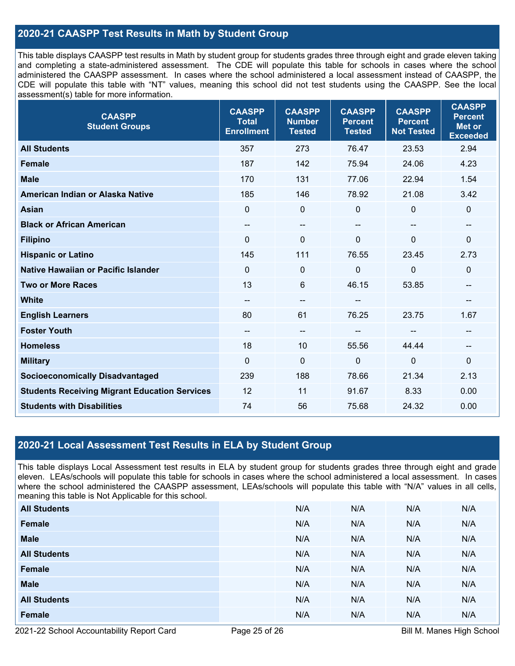## **2020-21 CAASPP Test Results in Math by Student Group**

This table displays CAASPP test results in Math by student group for students grades three through eight and grade eleven taking and completing a state-administered assessment. The CDE will populate this table for schools in cases where the school administered the CAASPP assessment. In cases where the school administered a local assessment instead of CAASPP, the CDE will populate this table with "NT" values, meaning this school did not test students using the CAASPP. See the local assessment(s) table for more information.

| <b>CAASPP</b><br><b>Student Groups</b>               | <b>CAASPP</b><br><b>Total</b><br><b>Enrollment</b> | <b>CAASPP</b><br><b>Number</b><br><b>Tested</b> | <b>CAASPP</b><br><b>Percent</b><br><b>Tested</b> | <b>CAASPP</b><br><b>Percent</b><br><b>Not Tested</b> | <b>CAASPP</b><br><b>Percent</b><br><b>Met or</b><br><b>Exceeded</b> |
|------------------------------------------------------|----------------------------------------------------|-------------------------------------------------|--------------------------------------------------|------------------------------------------------------|---------------------------------------------------------------------|
| <b>All Students</b>                                  | 357                                                | 273                                             | 76.47                                            | 23.53                                                | 2.94                                                                |
| <b>Female</b>                                        | 187                                                | 142                                             | 75.94                                            | 24.06                                                | 4.23                                                                |
| <b>Male</b>                                          | 170                                                | 131                                             | 77.06                                            | 22.94                                                | 1.54                                                                |
| American Indian or Alaska Native                     | 185                                                | 146                                             | 78.92                                            | 21.08                                                | 3.42                                                                |
| <b>Asian</b>                                         | $\mathbf 0$                                        | 0                                               | $\mathbf 0$                                      | 0                                                    | $\mathbf 0$                                                         |
| <b>Black or African American</b>                     | --                                                 | $\overline{\phantom{m}}$                        | $\overline{\phantom{a}}$                         | $\sim$                                               | $\overline{\phantom{a}}$                                            |
| <b>Filipino</b>                                      | $\Omega$                                           | $\mathbf 0$                                     | $\mathbf{0}$                                     | 0                                                    | $\mathbf 0$                                                         |
| <b>Hispanic or Latino</b>                            | 145                                                | 111                                             | 76.55                                            | 23.45                                                | 2.73                                                                |
| <b>Native Hawaiian or Pacific Islander</b>           | $\mathbf{0}$                                       | $\mathbf 0$                                     | $\mathbf 0$                                      | $\overline{0}$                                       | $\mathbf 0$                                                         |
| <b>Two or More Races</b>                             | 13                                                 | 6                                               | 46.15                                            | 53.85                                                | --                                                                  |
| <b>White</b>                                         | $\qquad \qquad -$                                  | --                                              | --                                               |                                                      | --                                                                  |
| <b>English Learners</b>                              | 80                                                 | 61                                              | 76.25                                            | 23.75                                                | 1.67                                                                |
| <b>Foster Youth</b>                                  | $\qquad \qquad -$                                  | $\qquad \qquad -$                               | --                                               |                                                      | --                                                                  |
| <b>Homeless</b>                                      | 18                                                 | 10                                              | 55.56                                            | 44.44                                                | $\hspace{0.05cm}$                                                   |
| <b>Military</b>                                      | $\mathbf 0$                                        | $\pmb{0}$                                       | $\mathbf 0$                                      | $\overline{0}$                                       | 0                                                                   |
| <b>Socioeconomically Disadvantaged</b>               | 239                                                | 188                                             | 78.66                                            | 21.34                                                | 2.13                                                                |
| <b>Students Receiving Migrant Education Services</b> | 12                                                 | 11                                              | 91.67                                            | 8.33                                                 | 0.00                                                                |
| <b>Students with Disabilities</b>                    | 74                                                 | 56                                              | 75.68                                            | 24.32                                                | 0.00                                                                |

## **2020-21 Local Assessment Test Results in ELA by Student Group**

This table displays Local Assessment test results in ELA by student group for students grades three through eight and grade eleven. LEAs/schools will populate this table for schools in cases where the school administered a local assessment. In cases where the school administered the CAASPP assessment, LEAs/schools will populate this table with "N/A" values in all cells, meaning this table is Not Applicable for this school.

| <b>All Students</b> | N/A | N/A | N/A | N/A |
|---------------------|-----|-----|-----|-----|
| Female              | N/A | N/A | N/A | N/A |
| <b>Male</b>         | N/A | N/A | N/A | N/A |
| <b>All Students</b> | N/A | N/A | N/A | N/A |
| Female              | N/A | N/A | N/A | N/A |
| <b>Male</b>         | N/A | N/A | N/A | N/A |
| <b>All Students</b> | N/A | N/A | N/A | N/A |
| Female              | N/A | N/A | N/A | N/A |